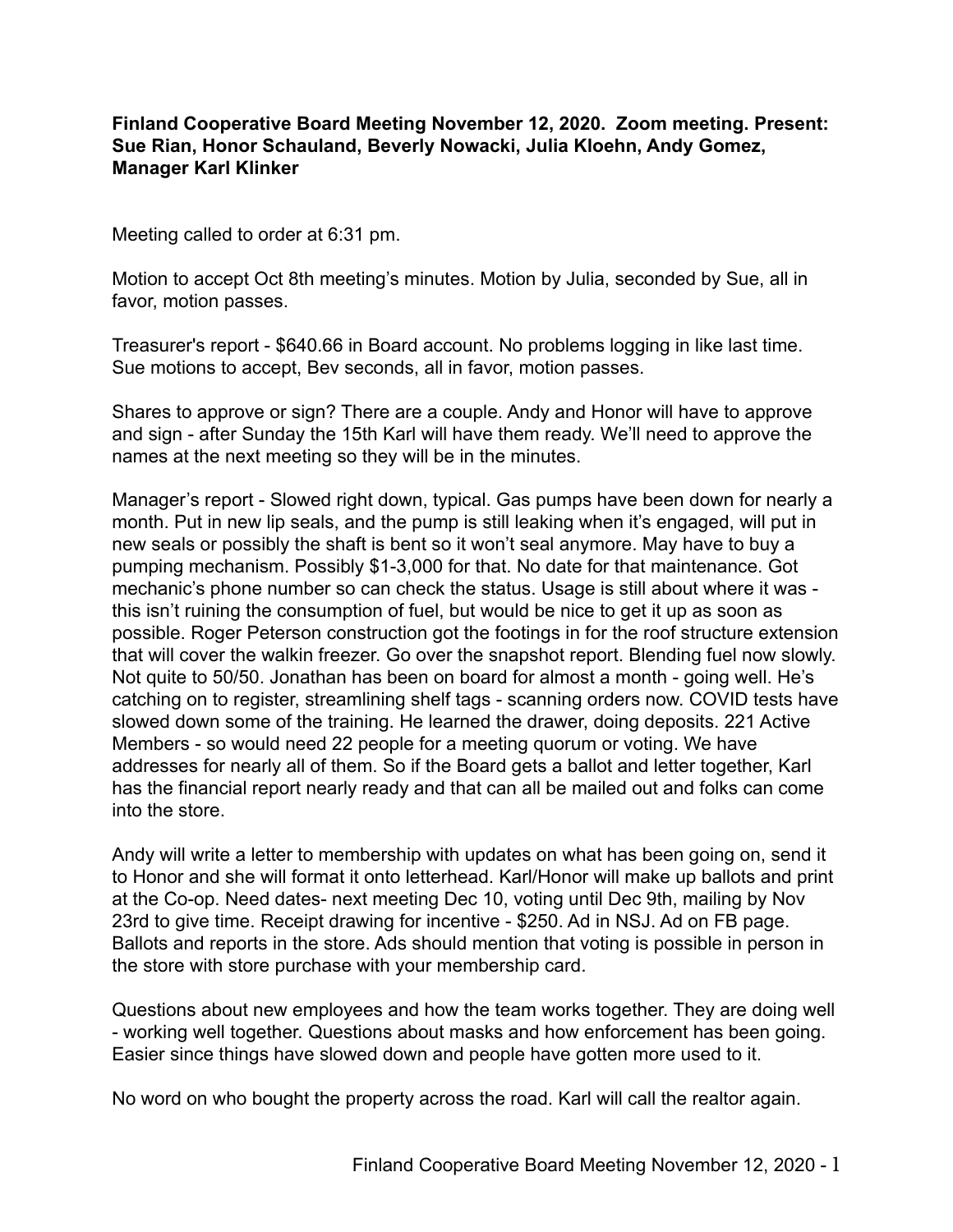## **Finland Cooperative Board Meeting November 12, 2020. Zoom meeting. Present: Sue Rian, Honor Schauland, Beverly Nowacki, Julia Kloehn, Andy Gomez, Manager Karl Klinker**

Meeting called to order at 6:31 pm.

Motion to accept Oct 8th meeting's minutes. Motion by Julia, seconded by Sue, all in favor, motion passes.

Treasurer's report - \$640.66 in Board account. No problems logging in like last time. Sue motions to accept, Bev seconds, all in favor, motion passes.

Shares to approve or sign? There are a couple. Andy and Honor will have to approve and sign - after Sunday the 15th Karl will have them ready. We'll need to approve the names at the next meeting so they will be in the minutes.

Manager's report - Slowed right down, typical. Gas pumps have been down for nearly a month. Put in new lip seals, and the pump is still leaking when it's engaged, will put in new seals or possibly the shaft is bent so it won't seal anymore. May have to buy a pumping mechanism. Possibly \$1-3,000 for that. No date for that maintenance. Got mechanic's phone number so can check the status. Usage is still about where it was this isn't ruining the consumption of fuel, but would be nice to get it up as soon as possible. Roger Peterson construction got the footings in for the roof structure extension that will cover the walkin freezer. Go over the snapshot report. Blending fuel now slowly. Not quite to 50/50. Jonathan has been on board for almost a month - going well. He's catching on to register, streamlining shelf tags - scanning orders now. COVID tests have slowed down some of the training. He learned the drawer, doing deposits. 221 Active Members - so would need 22 people for a meeting quorum or voting. We have addresses for nearly all of them. So if the Board gets a ballot and letter together, Karl has the financial report nearly ready and that can all be mailed out and folks can come into the store.

Andy will write a letter to membership with updates on what has been going on, send it to Honor and she will format it onto letterhead. Karl/Honor will make up ballots and print at the Co-op. Need dates- next meeting Dec 10, voting until Dec 9th, mailing by Nov 23rd to give time. Receipt drawing for incentive - \$250. Ad in NSJ. Ad on FB page. Ballots and reports in the store. Ads should mention that voting is possible in person in the store with store purchase with your membership card.

Questions about new employees and how the team works together. They are doing well - working well together. Questions about masks and how enforcement has been going. Easier since things have slowed down and people have gotten more used to it.

No word on who bought the property across the road. Karl will call the realtor again.